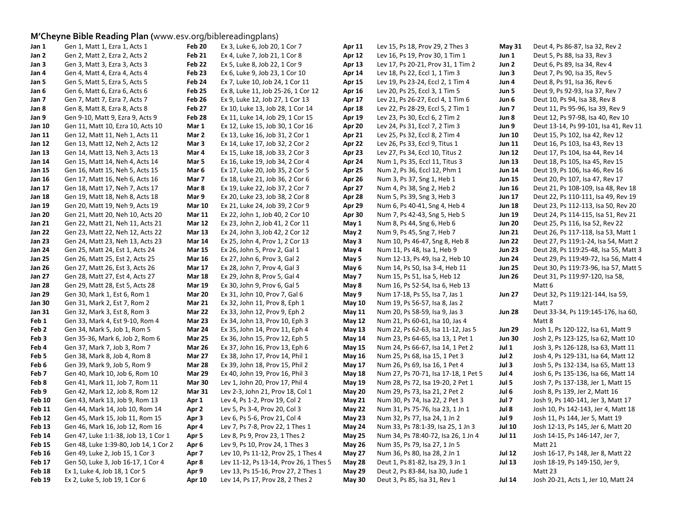## **M'Cheyne Bible Reading Plan (**www.esv.org/biblereadingplans)

| Jan 1             | Gen 1, Matt 1, Ezra 1, Acts 1         | Feb 20            | Ex 3, Luke 6, Job 20, 1 Cor 7          | Apr 11        | Lev 15, Ps 18, Prov 29, 2 Thes 3     | <b>May 31</b> | Deut 4, Ps 86-87, Isa 32, Rev 2       |
|-------------------|---------------------------------------|-------------------|----------------------------------------|---------------|--------------------------------------|---------------|---------------------------------------|
| Jan 2             | Gen 2, Matt 2, Ezra 2, Acts 2         | <b>Feb 21</b>     | Ex 4, Luke 7, Job 21, 1 Cor 8          | <b>Apr 12</b> | Lev 16, Ps 19, Prov 30, 1 Tim 1      | Jun 1         | Deut 5, Ps 88, Isa 33, Rev 3          |
| Jan 3             | Gen 3, Matt 3, Ezra 3, Acts 3         | Feb 22            | Ex 5, Luke 8, Job 22, 1 Cor 9          | Apr 13        | Lev 17, Ps 20-21, Prov 31, 1 Tim 2   | Jun 2         | Deut 6, Ps 89, Isa 34, Rev 4          |
| Jan 4             | Gen 4, Matt 4, Ezra 4, Acts 4         | Feb <sub>23</sub> | Ex 6, Luke 9, Job 23, 1 Cor 10         | Apr 14        | Lev 18, Ps 22, Eccl 1, 1 Tim 3       | Jun 3         | Deut 7, Ps 90, Isa 35, Rev 5          |
| Jan 5             | Gen 5, Matt 5, Ezra 5, Acts 5         | Feb 24            | Ex 7, Luke 10, Job 24, 1 Cor 11        | <b>Apr 15</b> | Lev 19, Ps 23-24, Eccl 2, 1 Tim 4    | Jun 4         | Deut 8, Ps 91, Isa 36, Rev 6          |
| Jan 6             | Gen 6, Matt 6, Ezra 6, Acts 6         | Feb <sub>25</sub> | Ex 8, Luke 11, Job 25-26, 1 Cor 12     | Apr 16        | Lev 20, Ps 25, Eccl 3, 1 Tim 5       | Jun 5         | Deut 9, Ps 92-93, Isa 37, Rev 7       |
| Jan 7             | Gen 7, Matt 7, Ezra 7, Acts 7         | Feb 26            | Ex 9, Luke 12, Job 27, 1 Cor 13        | Apr 17        | Lev 21, Ps 26-27, Eccl 4, 1 Tim 6    | Jun 6         | Deut 10, Ps 94, Isa 38, Rev 8         |
| Jan 8             | Gen 8, Matt 8, Ezra 8, Acts 8         | Feb 27            | Ex 10, Luke 13, Job 28, 1 Cor 14       | Apr 18        | Lev 22, Ps 28-29, Eccl 5, 2 Tim 1    | Jun 7         | Deut 11, Ps 95-96, Isa 39, Rev 9      |
| Jan 9             | Gen 9-10, Matt 9, Ezra 9, Acts 9      | Feb <sub>28</sub> | Ex 11, Luke 14, Job 29, 1 Cor 15       | Apr 19        | Lev 23, Ps 30, Eccl 6, 2 Tim 2       | Jun 8         | Deut 12, Ps 97-98, Isa 40, Rev 10     |
| Jan 10            | Gen 11, Matt 10, Ezra 10, Acts 10     | Mar 1             | Ex 12, Luke 15, Job 30, 1 Cor 16       | Apr 20        | Lev 24, Ps 31, Eccl 7, 2 Tim 3       | Jun 9         | Deut 13-14, Ps 99-101, Isa 41, Rev 11 |
| Jan 11            | Gen 12, Matt 11, Neh 1, Acts 11       | Mar 2             | Ex 13, Luke 16, Job 31, 2 Cor 1        | Apr 21        | Lev 25, Ps 32, Eccl 8, 2 Tim 4       | <b>Jun 10</b> | Deut 15, Ps 102, Isa 42, Rev 12       |
| Jan 12            | Gen 13, Matt 12, Neh 2, Acts 12       | Mar 3             | Ex 14, Luke 17, Job 32, 2 Cor 2        | Apr 22        | Lev 26, Ps 33, Eccl 9, Titus 1       | <b>Jun 11</b> | Deut 16, Ps 103, Isa 43, Rev 13       |
| Jan 13            | Gen 14, Matt 13, Neh 3, Acts 13       | Mar 4             | Ex 15, Luke 18, Job 33, 2 Cor 3        | Apr 23        | Lev 27, Ps 34, Eccl 10, Titus 2      | <b>Jun 12</b> | Deut 17, Ps 104, Isa 44, Rev 14       |
| Jan 14            | Gen 15, Matt 14, Neh 4, Acts 14       | Mar 5             | Ex 16, Luke 19, Job 34, 2 Cor 4        | Apr 24        | Num 1, Ps 35, Eccl 11, Titus 3       | <b>Jun 13</b> | Deut 18, Ps 105, Isa 45, Rev 15       |
| Jan 15            | Gen 16, Matt 15, Neh 5, Acts 15       | Mar 6             | Ex 17, Luke 20, Job 35, 2 Cor 5        | Apr 25        | Num 2, Ps 36, Eccl 12, Phm 1         | <b>Jun 14</b> | Deut 19, Ps 106, Isa 46, Rev 16       |
| Jan 16            | Gen 17, Matt 16, Neh 6, Acts 16       | Mar 7             | Ex 18, Luke 21, Job 36, 2 Cor 6        | Apr 26        | Num 3, Ps 37, Sng 1, Heb 1           | <b>Jun 15</b> | Deut 20, Ps 107, Isa 47, Rev 17       |
| Jan 17            | Gen 18, Matt 17, Neh 7, Acts 17       | Mar 8             | Ex 19, Luke 22, Job 37, 2 Cor 7        | Apr 27        | Num 4, Ps 38, Sng 2, Heb 2           | <b>Jun 16</b> | Deut 21, Ps 108-109, Isa 48, Rev 18   |
| Jan 18            | Gen 19, Matt 18, Neh 8, Acts 18       | Mar 9             | Ex 20, Luke 23, Job 38, 2 Cor 8        | Apr 28        | Num 5, Ps 39, Sng 3, Heb 3           | <b>Jun 17</b> | Deut 22, Ps 110-111, Isa 49, Rev 19   |
| <b>Jan 19</b>     | Gen 20, Matt 19, Neh 9, Acts 19       | <b>Mar 10</b>     | Ex 21, Luke 24, Job 39, 2 Cor 9        | Apr 29        | Num 6, Ps 40-41, Sng 4, Heb 4        | <b>Jun 18</b> | Deut 23, Ps 112-113, Isa 50, Rev 20   |
| <b>Jan 20</b>     | Gen 21, Matt 20, Neh 10, Acts 20      | <b>Mar 11</b>     | Ex 22, John 1, Job 40, 2 Cor 10        | Apr 30        | Num 7, Ps 42-43, Sng 5, Heb 5        | <b>Jun 19</b> | Deut 24, Ps 114-115, Isa 51, Rev 21   |
| Jan 21            | Gen 22, Matt 21, Neh 11, Acts 21      | <b>Mar 12</b>     | Ex 23, John 2, Job 41, 2 Cor 11        | May 1         | Num 8, Ps 44, Sng 6, Heb 6           | <b>Jun 20</b> | Deut 25, Ps 116, Isa 52, Rev 22       |
| <b>Jan 22</b>     | Gen 23, Matt 22, Neh 12, Acts 22      | <b>Mar 13</b>     | Ex 24, John 3, Job 42, 2 Cor 12        | May 2         | Num 9, Ps 45, Sng 7, Heb 7           | <b>Jun 21</b> | Deut 26, Ps 117-118, Isa 53, Matt 1   |
| <b>Jan 23</b>     | Gen 24, Matt 23, Neh 13, Acts 23      | <b>Mar 14</b>     | Ex 25, John 4, Prov 1, 2 Cor 13        | May 3         | Num 10, Ps 46-47, Sng 8, Heb 8       | <b>Jun 22</b> | Deut 27, Ps 119:1-24, Isa 54, Matt 2  |
| <b>Jan 24</b>     | Gen 25, Matt 24, Est 1, Acts 24       | <b>Mar 15</b>     | Ex 26, John 5, Prov 2, Gal 1           | May 4         | Num 11, Ps 48, Isa 1, Heb 9          | <b>Jun 23</b> | Deut 28, Ps 119:25-48, Isa 55, Matt 3 |
| <b>Jan 25</b>     | Gen 26, Matt 25, Est 2, Acts 25       | <b>Mar 16</b>     | Ex 27, John 6, Prov 3, Gal 2           | May 5         | Num 12-13, Ps 49, Isa 2, Heb 10      | <b>Jun 24</b> | Deut 29, Ps 119:49-72, Isa 56, Matt 4 |
| Jan 26            | Gen 27, Matt 26, Est 3, Acts 26       | <b>Mar 17</b>     | Ex 28, John 7, Prov 4, Gal 3           | May 6         | Num 14, Ps 50, Isa 3-4, Heb 11       | <b>Jun 25</b> | Deut 30, Ps 119:73-96, Isa 57, Matt 5 |
| <b>Jan 27</b>     | Gen 28, Matt 27, Est 4, Acts 27       | <b>Mar 18</b>     | Ex 29, John 8, Prov 5, Gal 4           | May 7         | Num 15, Ps 51, Isa 5, Heb 12         | <b>Jun 26</b> | Deut 31, Ps 119:97-120, Isa 58,       |
| <b>Jan 28</b>     | Gen 29, Matt 28, Est 5, Acts 28       | <b>Mar 19</b>     | Ex 30, John 9, Prov 6, Gal 5           | May 8         | Num 16, Ps 52-54, Isa 6, Heb 13      |               | Matt 6                                |
| <b>Jan 29</b>     | Gen 30, Mark 1, Est 6, Rom 1          | Mar 20            | Ex 31, John 10, Prov 7, Gal 6          | May 9         | Num 17-18, Ps 55, Isa 7, Jas 1       | <b>Jun 27</b> | Deut 32, Ps 119:121-144, Isa 59,      |
| <b>Jan 30</b>     | Gen 31, Mark 2, Est 7, Rom 2          | <b>Mar 21</b>     | Ex 32, John 11, Prov 8, Eph 1          | <b>May 10</b> | Num 19, Ps 56-57, Isa 8, Jas 2       |               | Matt 7                                |
| Jan 31            | Gen 32, Mark 3, Est 8, Rom 3          | Mar 22            | Ex 33, John 12, Prov 9, Eph 2          | <b>May 11</b> | Num 20, Ps 58-59, Isa 9, Jas 3       | <b>Jun 28</b> | Deut 33-34, Ps 119:145-176, Isa 60,   |
| Feb 1             | Gen 33, Mark 4, Est 9-10, Rom 4       | Mar 23            | Ex 34, John 13, Prov 10, Eph 3         | May 12        | Num 21, Ps 60-61, Isa 10, Jas 4      |               | Matt 8                                |
| Feb 2             | Gen 34, Mark 5, Job 1, Rom 5          | Mar 24            | Ex 35, John 14, Prov 11, Eph 4         | <b>May 13</b> | Num 22, Ps 62-63, Isa 11-12, Jas 5   | <b>Jun 29</b> | Josh 1, Ps 120-122, Isa 61, Matt 9    |
| Feb 3             | Gen 35-36, Mark 6, Job 2, Rom 6       | <b>Mar 25</b>     | Ex 36, John 15, Prov 12, Eph 5         | <b>May 14</b> | Num 23, Ps 64-65, Isa 13, 1 Pet 1    | <b>Jun 30</b> | Josh 2, Ps 123-125, Isa 62, Matt 10   |
| Feb 4             | Gen 37, Mark 7, Job 3, Rom 7          | Mar 26            | Ex 37, John 16, Prov 13, Eph 6         | <b>May 15</b> | Num 24, Ps 66-67, Isa 14, 1 Pet 2    | Jul 1         | Josh 3, Ps 126-128, Isa 63, Matt 11   |
| Feb 5             | Gen 38, Mark 8, Job 4, Rom 8          | Mar 27            | Ex 38, John 17, Prov 14, Phil 1        | <b>May 16</b> | Num 25, Ps 68, Isa 15, 1 Pet 3       | Jul 2         | Josh 4, Ps 129-131, Isa 64, Matt 12   |
| Feb 6             | Gen 39, Mark 9, Job 5, Rom 9          | Mar 28            | Ex 39, John 18, Prov 15, Phil 2        | <b>May 17</b> | Num 26, Ps 69, Isa 16, 1 Pet 4       | Jul 3         | Josh 5, Ps 132-134, Isa 65, Matt 13   |
| Feb 7             | Gen 40, Mark 10, Job 6, Rom 10        | <b>Mar 29</b>     | Ex 40, John 19, Prov 16, Phil 3        | <b>May 18</b> | Num 27, Ps 70-71, Isa 17-18, 1 Pet 5 | Jul 4         | Josh 6, Ps 135-136, Isa 66, Matt 14   |
| Feb 8             | Gen 41, Mark 11, Job 7, Rom 11        | <b>Mar 30</b>     | Lev 1, John 20, Prov 17, Phil 4        | <b>May 19</b> | Num 28, Ps 72, Isa 19-20, 2 Pet 1    | Jul 5         | Josh 7, Ps 137-138, Jer 1, Matt 15    |
| Feb 9             | Gen 42, Mark 12, Job 8, Rom 12        | <b>Mar 31</b>     | Lev 2-3, John 21, Prov 18, Col 1       | <b>May 20</b> | Num 29, Ps 73, Isa 21, 2 Pet 2       | Jul 6         | Josh 8, Ps 139, Jer 2, Matt 16        |
| <b>Feb 10</b>     | Gen 43, Mark 13, Job 9, Rom 13        | Apr 1             | Lev 4, Ps 1-2, Prov 19, Col 2          | <b>May 21</b> | Num 30, Ps 74, Isa 22, 2 Pet 3       | Jul 7         | Josh 9, Ps 140-141, Jer 3, Matt 17    |
| Feb 11            | Gen 44, Mark 14, Job 10, Rom 14       | Apr 2             | Lev 5, Ps 3-4, Prov 20, Col 3          | May 22        | Num 31, Ps 75-76, Isa 23, 1 Jn 1     | Jul 8         | Josh 10, Ps 142-143, Jer 4, Matt 18   |
| Feb 12            | Gen 45, Mark 15, Job 11, Rom 15       | Apr 3             | Lev 6, Ps 5-6, Prov 21, Col 4          | <b>May 23</b> | Num 32, Ps 77, Isa 24, 1 Jn 2        | Jul 9         | Josh 11, Ps 144, Jer 5, Matt 19       |
| Feb <sub>13</sub> | Gen 46, Mark 16, Job 12, Rom 16       | Apr 4             | Lev 7, Ps 7-8, Prov 22, 1 Thes 1       | May 24        | Num 33, Ps 78:1-39, Isa 25, 1 Jn 3   | <b>Jul 10</b> | Josh 12-13, Ps 145, Jer 6, Matt 20    |
| Feb 14            | Gen 47, Luke 1:1-38, Job 13, 1 Cor 1  | Apr 5             | Lev 8, Ps 9, Prov 23, 1 Thes 2         | <b>May 25</b> | Num 34, Ps 78:40-72, Isa 26, 1 Jn 4  | <b>Jul 11</b> | Josh 14-15, Ps 146-147, Jer 7,        |
| Feb 15            | Gen 48, Luke 1:39-80, Job 14, 1 Cor 2 | Apr <sub>6</sub>  | Lev 9, Ps 10, Prov 24, 1 Thes 3        | <b>May 26</b> | Num 35, Ps 79, Isa 27, 1 Jn 5        |               | Matt 21                               |
| Feb 16            | Gen 49, Luke 2, Job 15, 1 Cor 3       | Apr <sub>7</sub>  | Lev 10, Ps 11-12, Prov 25, 1 Thes 4    | <b>May 27</b> | Num 36, Ps 80, Isa 28, 2 Jn 1        | <b>Jul 12</b> | Josh 16-17, Ps 148, Jer 8, Matt 22    |
| Feb 17            | Gen 50, Luke 3, Job 16-17, 1 Cor 4    | Apr 8             | Lev 11-12, Ps 13-14, Prov 26, 1 Thes 5 | May 28        | Deut 1, Ps 81-82, Isa 29, 3 Jn 1     | <b>Jul 13</b> | Josh 18-19, Ps 149-150, Jer 9,        |
| Feb 18            | Ex 1, Luke 4, Job 18, 1 Cor 5         | Apr 9             | Lev 13, Ps 15-16, Prov 27, 2 Thes 1    | <b>May 29</b> | Deut 2, Ps 83-84, Isa 30, Jude 1     |               | Matt 23                               |
| Feb 19            | Ex 2, Luke 5, Job 19, 1 Cor 6         | Apr 10            | Lev 14, Ps 17, Prov 28, 2 Thes 2       | <b>May 30</b> | Deut 3, Ps 85, Isa 31, Rev 1         | <b>Jul 14</b> | Josh 20-21, Acts 1, Jer 10, Matt 24   |